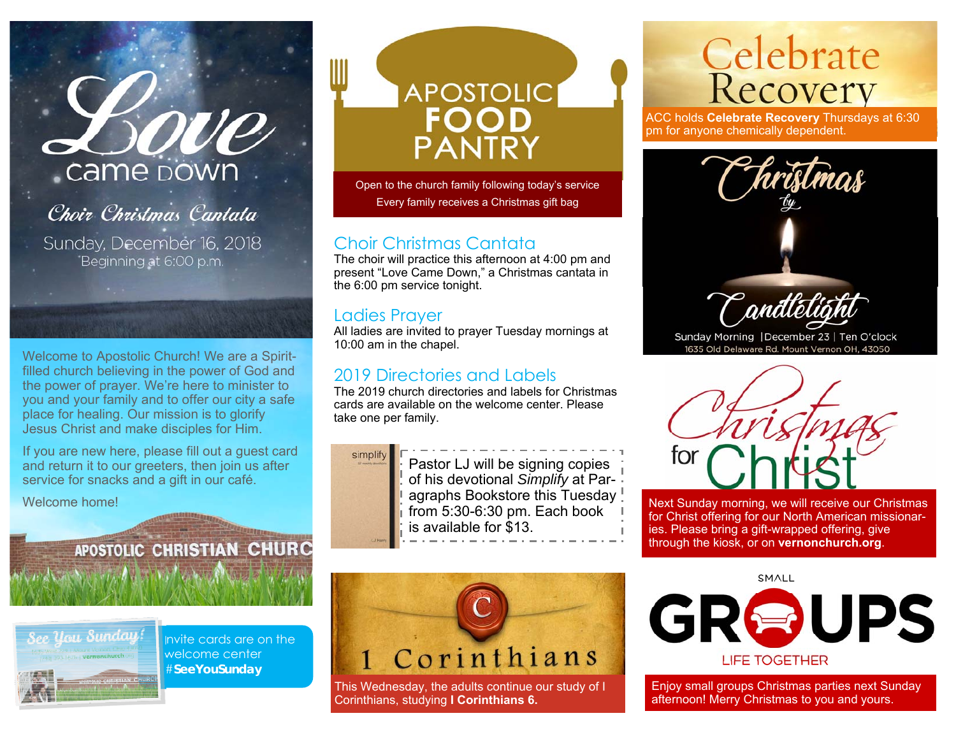# Love Came DOWN

Choir Christmas Cantata Sunday, December 16, 2018 Beginning at 6:00 p.m.

Welcome to Apostolic Church! We are a Spiritfilled church believing in the power of God and the power of prayer. We're here to minister to you and your family and to offer our city a safe place for healing. Our mission is to glorify Jesus Christ and make disciples for Him.

If you are new here, please fill out a guest card and return it to our greeters, then join us after service for snacks and a gift in our café.

**Some of A strong A consumer** 

Welcome home!

APOSTOLIC CHRISTIAN CHURC



Invite cards are on the welcome center #**SeeYouSunday** 

# **APOSTOLIC PANTRY**

Open to the church family following today's service Every family receives a Christmas gift bag

#### Choir Christmas Cantata

The choir will practice this afternoon at 4:00 pm and present "Love Came Down," a Christmas cantata in the 6:00 pm service tonight.

#### Ladies Prayer

All ladies are invited to prayer Tuesday mornings at 10:00 am in the chapel.

### 2019 Directories and Labels

The 2019 church directories and labels for Christmas cards are available on the welcome center. Please take one per family.

This Wednesday, the adults continue our study of I

Corinthians

Corinthians, studying **I Corinthians 6.**



Pastor LJ will be signing copies of his devotional *Simplify* at Paragraphs Bookstore this Tuesday from 5:30-6:30 pm. Each book is available for \$13.



ACC holds **Celebrate Recovery** Thursdays at 6:30 pm for anyone chemically dependent.



Sunday Morning | December 23 | Ten O'clock 1635 Old Delaware Rd. Mount Vernon OH, 43050



Next Sunday morning, we will receive our Christmas for Christ offering for our North American missionaries. Please bring a gift-wrapped offering, give through the kiosk, or on **vernonchurch.org**.

**SMALL** 



Enjoy small groups Christmas parties next Sunday afternoon! Merry Christmas to you and yours.